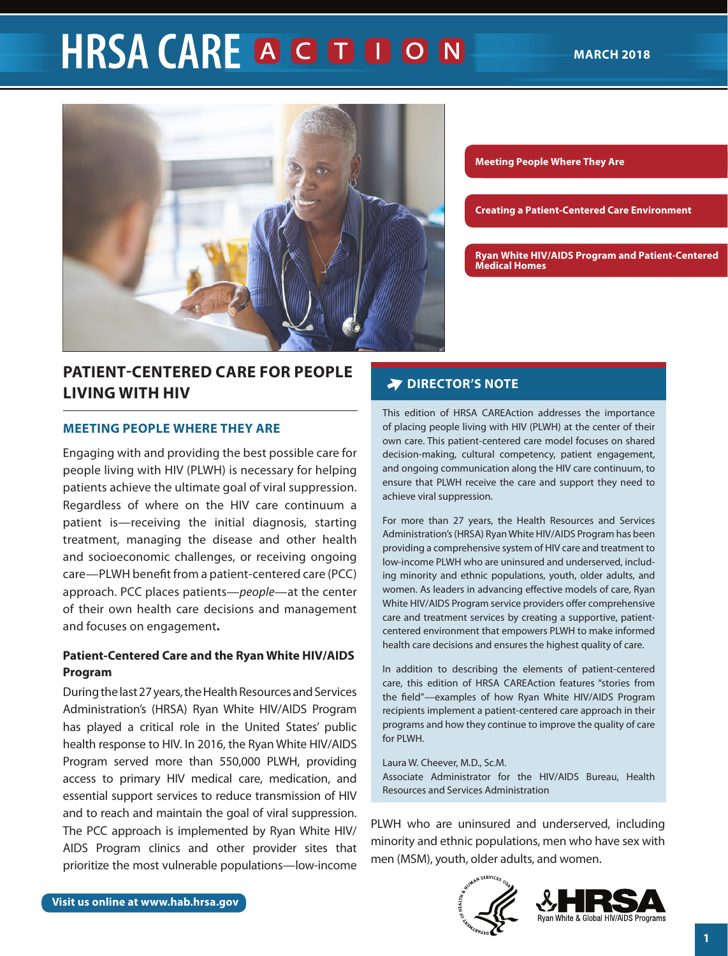# **HRSA CARE A G D D O N**



# **PATIENT-CENTERED CARE FOR PEOPLE LIVING WITH HIV**

#### **MEETING PEOPLE WHERE THEY ARE**

Engaging with and providing the best possible care for people living with HIV (PLWH) is necessary for helping patients achieve the ultimate goal of viral suppression. Regardless of where on the HIV care continuum a patient is—receiving the initial diagnosis, starting treatment, managing the disease and other health and socioeconomic challenges, or receiving ongoing care—PLWH benefit from a patient-centered care (PCC) approach. PCC places patients—*people*—at the center of their own health care decisions and management and focuses on engagement**.** 

## **Patient-Centered Care and the Ryan White HIV/AIDS Program**

During the last 27 years, the Health Resources and Services Administration's (HRSA) Ryan White HIV/AIDS Program has played a critical role in the United States' public health response to HIV. In 2016, the Ryan White HIV/AIDS Program served more than 550,000 PLWH, providing access to primary HIV medical care, medication, and essential support services to reduce transmission of HIV and to reach and maintain the goal of viral suppression. The PCC approach is implemented by Ryan White HIV/ AIDS Program clinics and other provider sites that prioritize the most vulnerable populations—low-income

**Meeting People Where They Are**

**Creating a Patient-Centered Care Environment**

**[Ryan White HIV/AIDS Program and Patient-Centered](#page-6-0)  [Medical Homes](#page-6-1)**

#### **PATIENT-CENTERED CARE FOR BEHAVIOR PEOPLE LIVING WITH HIV SERVICES IN THE RYAN WHITE HIV/**

This edition of HRSA CAREAction addresses the importance<br>of placing neeple living with HIV (BLWH) at the center of their of placing people living with HIV (PLWH) at the center of their own care. This patient-centered care model focuses on shared decision-making, cultural competency, patient engagement, and ongoing communication along the HIV care continuum, to ensure that PLWH receive the care and support they need to achieve viral suppression.

For more than 27 years, the Health Resources and Services Administration's (HRSA) Ryan White HIV/AIDS Program has been providing a comprehensive system of HIV care and treatment to low-income PLWH who are uninsured and underserved, including minority and ethnic populations, youth, older adults, and women. As leaders in advancing effective models of care, Ryan White HIV/AIDS Program service providers offer comprehensive care and treatment services by creating a supportive, patientcentered environment that empowers PLWH to make informed health care decisions and ensures the highest quality of care.

In addition to describing the elements of patient-centered care, this edition of HRSA CAREAction features "stories from the field"—examples of how Ryan White HIV/AIDS Program recipients implement a patient-centered care approach in their programs and how they continue to improve the quality of care for PLWH.

Laura W. Cheever, M.D., Sc.M. Associate Administrator for the HIV/AIDS Bureau, Health Resources and Services Administration

PLWH who are uninsured and underserved, including minority and ethnic populations, men who have sex with men (MSM), youth, older adults, and women.



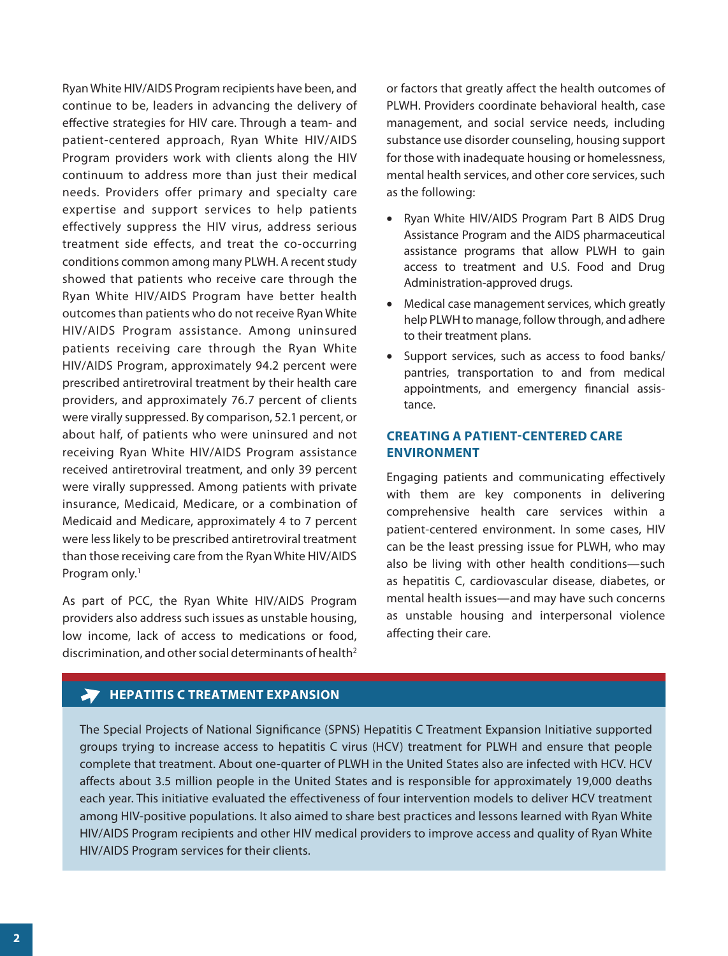Ryan White HIV/AIDS Program recipients have been, and continue to be, leaders in advancing the delivery of effective strategies for HIV care. Through a team- and patient-centered approach, Ryan White HIV/AIDS Program providers work with clients along the HIV continuum to address more than just their medical needs. Providers offer primary and specialty care expertise and support services to help patients effectively suppress the HIV virus, address serious treatment side effects, and treat the co-occurring conditions common among many PLWH. A recent study showed that patients who receive care through the Ryan White HIV/AIDS Program have better health outcomes than patients who do not receive Ryan White HIV/AIDS Program assistance. Among uninsured patients receiving care through the Ryan White HIV/AIDS Program, approximately 94.2 percent were prescribed antiretroviral treatment by their health care providers, and approximately 76.7 percent of clients were virally suppressed. By comparison, 52.1 percent, or about half, of patients who were uninsured and not receiving Ryan White HIV/AIDS Program assistance received antiretroviral treatment, and only 39 percent were virally suppressed. Among patients with private insurance, Medicaid, Medicare, or a combination of Medicaid and Medicare, approximately 4 to 7 percent were less likely to be prescribed antiretroviral treatment than those receiving care from the Ryan White HIV/AIDS Program only.<sup>1</sup>

As part of PCC, the Ryan White HIV/AIDS Program providers also address such issues as unstable housing, low income, lack of access to medications or food, discrimination, and other social determinants of health<sup>2</sup>

or factors that greatly affect the health outcomes of PLWH. Providers coordinate behavioral health, case management, and social service needs, including substance use disorder counseling, housing support for those with inadequate housing or homelessness, mental health services, and other core services, such as the following:

- Ryan White HIV/AIDS Program Part B AIDS Drug Assistance Program and the AIDS pharmaceutical assistance programs that allow PLWH to gain access to treatment and U.S. Food and Drug Administration-approved drugs.
- Medical case management services, which greatly help PLWH to manage, follow through, and adhere to their treatment plans.
- Support services, such as access to food banks/ pantries, transportation to and from medical appointments, and emergency financial assistance.

#### **CREATING A PATIENT-CENTERED CARE ENVIRONMENT**

Engaging patients and communicating effectively with them are key components in delivering comprehensive health care services within a patient-centered environment. In some cases, HIV can be the least pressing issue for PLWH, who may also be living with other health conditions—such as hepatitis C, cardiovascular disease, diabetes, or mental health issues—and may have such concerns as unstable housing and interpersonal violence affecting their care.

## **EXPANSION** HEPATITIS C TREATMENT EXPANSION

The Special Projects of National Significance (SPNS) Hepatitis C Treatment Expansion Initiative supported groups trying to increase access to hepatitis C virus (HCV) treatment for PLWH and ensure that people complete that treatment. About one-quarter of PLWH in the United States also are infected with HCV. HCV affects about 3.5 million people in the United States and is responsible for approximately 19,000 deaths each year. This initiative evaluated the effectiveness of four intervention models to deliver HCV treatment among HIV-positive populations. It also aimed to share best practices and lessons learned with Ryan White HIV/AIDS Program recipients and other HIV medical providers to improve access and quality of Ryan White HIV/AIDS Program services for their clients.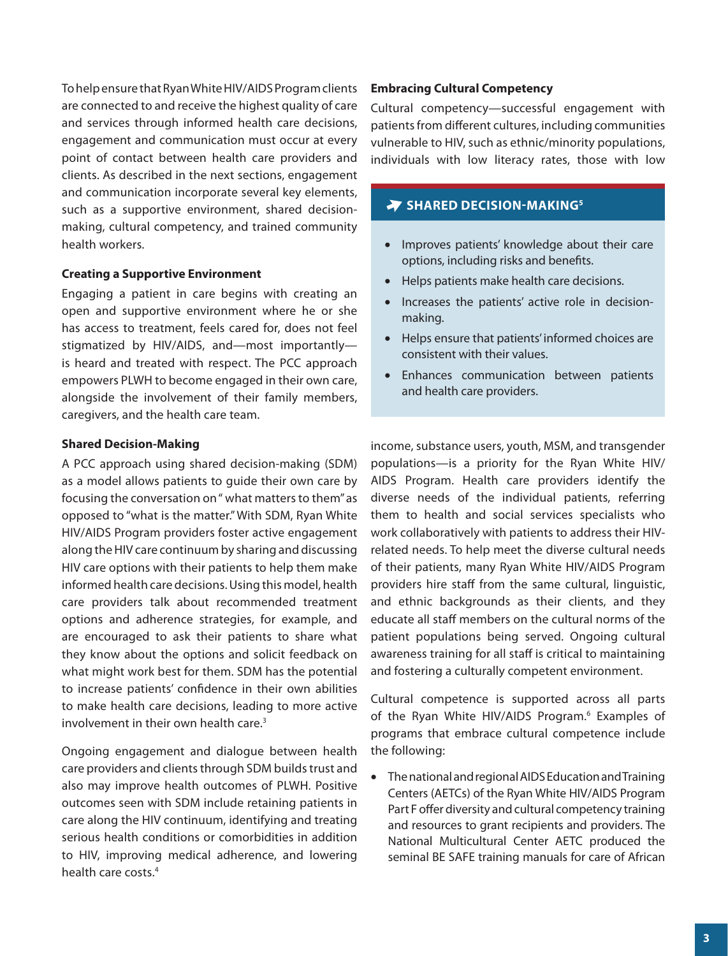To help ensure that Ryan White HIV/AIDS Program clients are connected to and receive the highest quality of care and services through informed health care decisions, engagement and communication must occur at every point of contact between health care providers and clients. As described in the next sections, engagement and communication incorporate several key elements, such as a supportive environment, shared decisionmaking, cultural competency, and trained community health workers.

#### **Creating a Supportive Environment**

Engaging a patient in care begins with creating an open and supportive environment where he or she has access to treatment, feels cared for, does not feel stigmatized by HIV/AIDS, and—most importantly is heard and treated with respect. The PCC approach empowers PLWH to become engaged in their own care, alongside the involvement of their family members, caregivers, and the health care team.

#### **Shared Decision-Making**

A PCC approach using shared decision-making (SDM) as a model allows patients to guide their own care by focusing the conversation on " what matters to them" as opposed to "what is the matter." With SDM, Ryan White HIV/AIDS Program providers foster active engagement along the HIV care continuum by sharing and discussing HIV care options with their patients to help them make informed health care decisions. Using this model, health care providers talk about recommended treatment options and adherence strategies, for example, and are encouraged to ask their patients to share what they know about the options and solicit feedback on what might work best for them. SDM has the potential to increase patients' confidence in their own abilities to make health care decisions, leading to more active involvement in their own health care.<sup>3</sup>

Ongoing engagement and dialogue between health care providers and clients through SDM builds trust and also may improve health outcomes of PLWH. Positive outcomes seen with SDM include retaining patients in care along the HIV continuum, identifying and treating serious health conditions or comorbidities in addition to HIV, improving medical adherence, and lowering health care costs.4

#### **Embracing Cultural Competency**

Cultural competency—successful engagement with patients from different cultures, including communities vulnerable to HIV, such as ethnic/minority populations, individuals with low literacy rates, those with low

### **SHARED DECISION-MAKING<sup>5</sup>**

- Improves patients' knowledge about their care options, including risks and benefits.
- Helps patients make health care decisions.
- Increases the patients' active role in decisionmaking.
- Helps ensure that patients' informed choices are consistent with their values.
- Enhances communication between patients and health care providers.

income, substance users, youth, MSM, and transgender populations—is a priority for the Ryan White HIV/ AIDS Program. Health care providers identify the diverse needs of the individual patients, referring them to health and social services specialists who work collaboratively with patients to address their HIVrelated needs. To help meet the diverse cultural needs of their patients, many Ryan White HIV/AIDS Program providers hire staff from the same cultural, linguistic, and ethnic backgrounds as their clients, and they educate all staff members on the cultural norms of the patient populations being served. Ongoing cultural awareness training for all staff is critical to maintaining and fostering a culturally competent environment.

Cultural competence is supported across all parts of the Ryan White HIV/AIDS Program.<sup>6</sup> Examples of programs that embrace cultural competence include the following:

• The national and regional AIDS Education and Training Centers (AETCs) of the Ryan White HIV/AIDS Program Part F offer diversity and cultural competency training and resources to grant recipients and providers. The National Multicultural Center AETC produced the seminal BE SAFE training manuals for care of African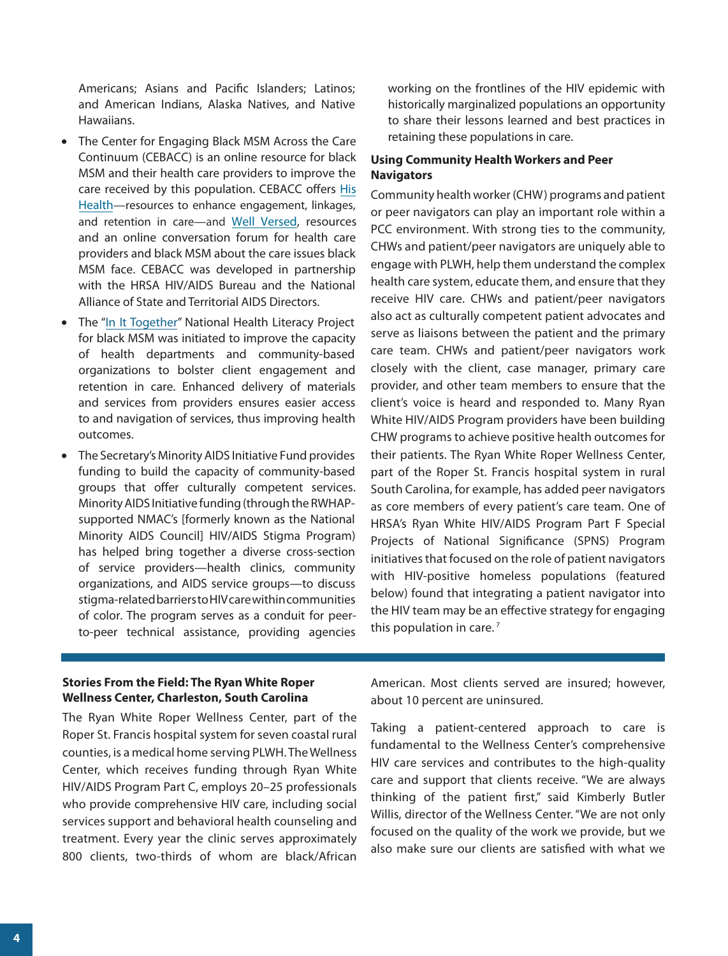Americans; Asians and Pacific Islanders; Latinos; and American Indians, Alaska Natives, and Native Hawaiians.

- The Center for Engaging Black MSM Across the Care Continuum (CEBACC) is an online resource for black MSM and their health care providers to improve the care received by this population. CEBACC offers [His](https://www.hishealth.org/) Health—resources [to enhance engagement, linkages,](https://www.hishealth.org/) [and retention in care—a](https://www.hishealth.org/)nd [Well Versed,](https://www.wellversed.org/) resources and an online conversation forum for health care providers and black MSM about the care issues black MSM face. CEBACC was developed in partnership with the HRSA HIV/AIDS Bureau and the National Alliance of State and Territorial AIDS Directors.
- The ["In It Together"](http://www.careacttarget.org/healthliteracy) National Health Literacy Project for black MSM was initiated to improve the capacity of health departments and community-based organizations to bolster client engagement and retention in care. Enhanced delivery of materials and services from providers ensures easier access to and navigation of services, thus improving health outcomes.
- The Secretary's Minority AIDS Initiative Fund provides funding to build the capacity of community-based groups that offer culturally competent services. Minority AIDS Initiative funding (throughthe RWHAPsupported NMAC's [formerly known as the National Minority AIDS Council] HIV/AIDS Stigma Program) has helped bring together a diverse cross-section of service providers—health clinics, community organizations, and AIDS service groups—to discuss stigma-related barriers toHIV care within communities of color. The program serves as a conduit for peerto-peer technical assistance, providing agencies

working on the frontlines of the HIV epidemic with historically marginalized populations an opportunity to share their lessons learned and best practices in retaining these populations in care.

#### **Using Community Health Workers and Peer Navigators**

Community health worker (CHW) programs and patient or peer navigators can play an important role within a PCC environment. With strong ties to the community, CHWs and patient/peer navigators are uniquely able to engage with PLWH, help them understand the complex health care system, educate them, and ensure that they receive HIV care. CHWs and patient/peer navigators also act as culturally competent patient advocates and serve as liaisons between the patient and the primary care team. CHWs and patient/peer navigators work closely with the client, case manager, primary care provider, and other team members to ensure that the client's voice is heard and responded to. Many Ryan White HIV/AIDS Program providers have been building CHW programs to achieve positive health outcomes for their patients. The Ryan White Roper Wellness Center, part of the Roper St. Francis hospital system in rural South Carolina, for example, has added peer navigators as core members of every patient's care team. One of HRSA's Ryan White HIV/AIDS Program Part F Special Projects of National Significance (SPNS) Program initiatives that focused on the role of patient navigators with HIV-positive homeless populations (featured below) found that integrating a patient navigator into the HIV team may be an effective strategy for engaging this population in care. $<sup>7</sup>$ </sup>

#### **Stories From the Field: The Ryan White Roper Wellness Center, Charleston, South Carolina**

The Ryan White Roper Wellness Center, part of the Roper St. Francis hospital system for seven coastal rural counties, is a medical home serving PLWH. The Wellness Center, which receives funding through Ryan White HIV/AIDS Program Part C, employs 20–25 professionals who provide comprehensive HIV care, including social services support and behavioral health counseling and treatment. Every year the clinic serves approximately 800 clients, two-thirds of whom are black/African American. Most clients served are insured; however, about 10 percent are uninsured.

Taking a patient-centered approach to care is fundamental to the Wellness Center's comprehensive HIV care services and contributes to the high-quality care and support that clients receive. "We are always thinking of the patient first," said Kimberly Butler Willis, director of the Wellness Center. "We are not only focused on the quality of the work we provide, but we also make sure our clients are satisfied with what we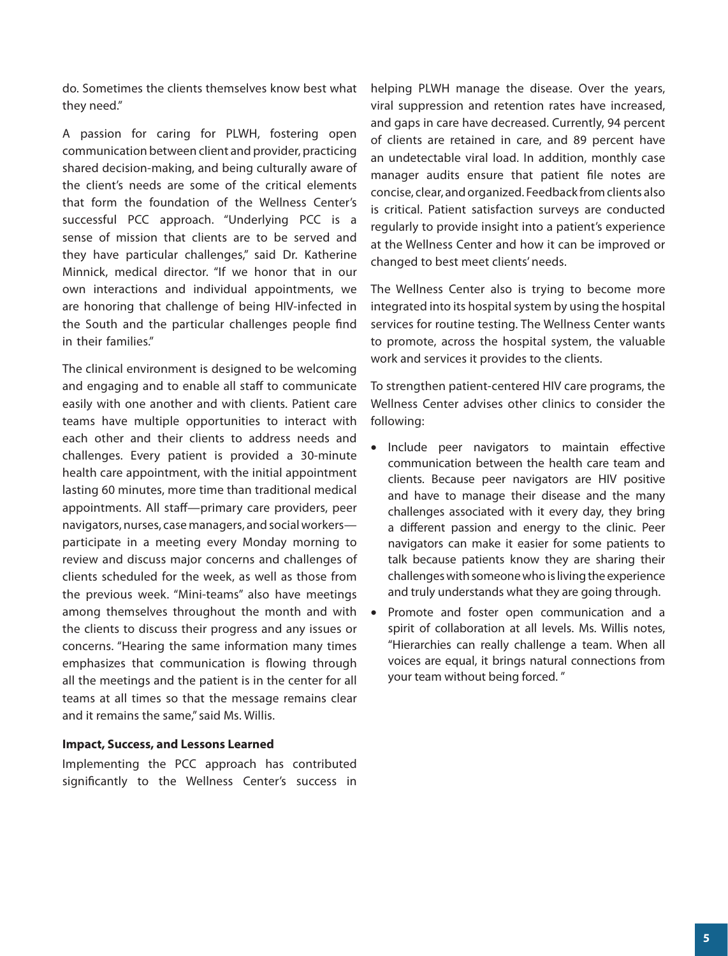do. Sometimes the clients themselves know best what they need."

A passion for caring for PLWH, fostering open communication between client and provider, practicing shared decision-making, and being culturally aware of the client's needs are some of the critical elements that form the foundation of the Wellness Center's successful PCC approach. "Underlying PCC is a sense of mission that clients are to be served and they have particular challenges," said Dr. Katherine Minnick, medical director. "If we honor that in our own interactions and individual appointments, we are honoring that challenge of being HIV-infected in the South and the particular challenges people find in their families."

The clinical environment is designed to be welcoming and engaging and to enable all staff to communicate easily with one another and with clients. Patient care teams have multiple opportunities to interact with each other and their clients to address needs and challenges. Every patient is provided a 30-minute health care appointment, with the initial appointment lasting 60 minutes, more time than traditional medical appointments. All staff—primary care providers, peer navigators, nurses, case managers, and social workers participate in a meeting every Monday morning to review and discuss major concerns and challenges of clients scheduled for the week, as well as those from the previous week. "Mini-teams" also have meetings among themselves throughout the month and with the clients to discuss their progress and any issues or concerns. "Hearing the same information many times emphasizes that communication is flowing through all the meetings and the patient is in the center for all teams at all times so that the message remains clear and it remains the same," said Ms. Willis.

#### **Impact, Success, and Lessons Learned**

Implementing the PCC approach has contributed significantly to the Wellness Center's success in helping PLWH manage the disease. Over the years, viral suppression and retention rates have increased, and gaps in care have decreased. Currently, 94 percent of clients are retained in care, and 89 percent have an undetectable viral load. In addition, monthly case manager audits ensure that patient file notes are concise, clear, and organized. Feedback from clients also is critical. Patient satisfaction surveys are conducted regularly to provide insight into a patient's experience at the Wellness Center and how it can be improved or changed to best meet clients' needs.

The Wellness Center also is trying to become more integrated into its hospital system by using the hospital services for routine testing. The Wellness Center wants to promote, across the hospital system, the valuable work and services it provides to the clients.

To strengthen patient-centered HIV care programs, the Wellness Center advises other clinics to consider the following:

- Include peer navigators to maintain effective communication between the health care team and clients. Because peer navigators are HIV positive and have to manage their disease and the many challenges associated with it every day, they bring a different passion and energy to the clinic. Peer navigators can make it easier for some patients to talk because patients know they are sharing their challenges with someone who is living the experience and truly understands what they are going through.
- Promote and foster open communication and a spirit of collaboration at all levels. Ms. Willis notes, "Hierarchies can really challenge a team. When all voices are equal, it brings natural connections from your team without being forced. "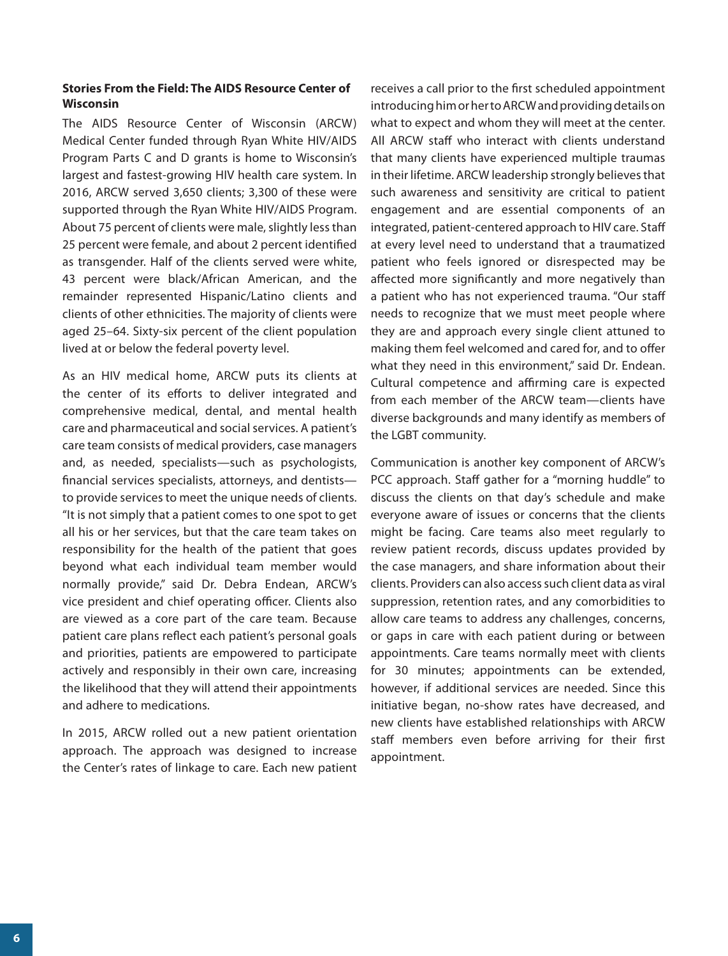#### **Stories From the Field: The AIDS Resource Center of Wisconsin**

The AIDS Resource Center of Wisconsin (ARCW) Medical Center funded through Ryan White HIV/AIDS Program Parts C and D grants is home to Wisconsin's largest and fastest-growing HIV health care system. In 2016, ARCW served 3,650 clients; 3,300 of these were supported through the Ryan White HIV/AIDS Program. About 75 percent of clients were male, slightly less than 25 percent were female, and about 2 percent identified as transgender. Half of the clients served were white, 43 percent were black/African American, and the remainder represented Hispanic/Latino clients and clients of other ethnicities. The majority of clients were aged 25–64. Sixty-six percent of the client population lived at or below the federal poverty level.

As an HIV medical home, ARCW puts its clients at the center of its efforts to deliver integrated and comprehensive medical, dental, and mental health care and pharmaceutical and social services. A patient's care team consists of medical providers, case managers and, as needed, specialists—such as psychologists, financial services specialists, attorneys, and dentists to provide services to meet the unique needs of clients. "It is not simply that a patient comes to one spot to get all his or her services, but that the care team takes on responsibility for the health of the patient that goes beyond what each individual team member would normally provide," said Dr. Debra Endean, ARCW's vice president and chief operating officer. Clients also are viewed as a core part of the care team. Because patient care plans reflect each patient's personal goals and priorities, patients are empowered to participate actively and responsibly in their own care, increasing the likelihood that they will attend their appointments and adhere to medications.

In 2015, ARCW rolled out a new patient orientation approach. The approach was designed to increase the Center's rates of linkage to care. Each new patient

receives a call prior to the first scheduled appointment introducing him or her to ARCW and providing details on what to expect and whom they will meet at the center. All ARCW staff who interact with clients understand that many clients have experienced multiple traumas in their lifetime. ARCW leadership strongly believes that such awareness and sensitivity are critical to patient engagement and are essential components of an integrated, patient-centered approach to HIV care. Staff at every level need to understand that a traumatized patient who feels ignored or disrespected may be affected more significantly and more negatively than a patient who has not experienced trauma. "Our staff needs to recognize that we must meet people where they are and approach every single client attuned to making them feel welcomed and cared for, and to offer what they need in this environment," said Dr. Endean. Cultural competence and affirming care is expected from each member of the ARCW team—clients have diverse backgrounds and many identify as members of the LGBT community.

Communication is another key component of ARCW's PCC approach. Staff gather for a "morning huddle" to discuss the clients on that day's schedule and make everyone aware of issues or concerns that the clients might be facing. Care teams also meet regularly to review patient records, discuss updates provided by the case managers, and share information about their clients. Providers can also access such client data as viral suppression, retention rates, and any comorbidities to allow care teams to address any challenges, concerns, or gaps in care with each patient during or between appointments. Care teams normally meet with clients for 30 minutes; appointments can be extended, however, if additional services are needed. Since this initiative began, no-show rates have decreased, and new clients have established relationships with ARCW staff members even before arriving for their first appointment.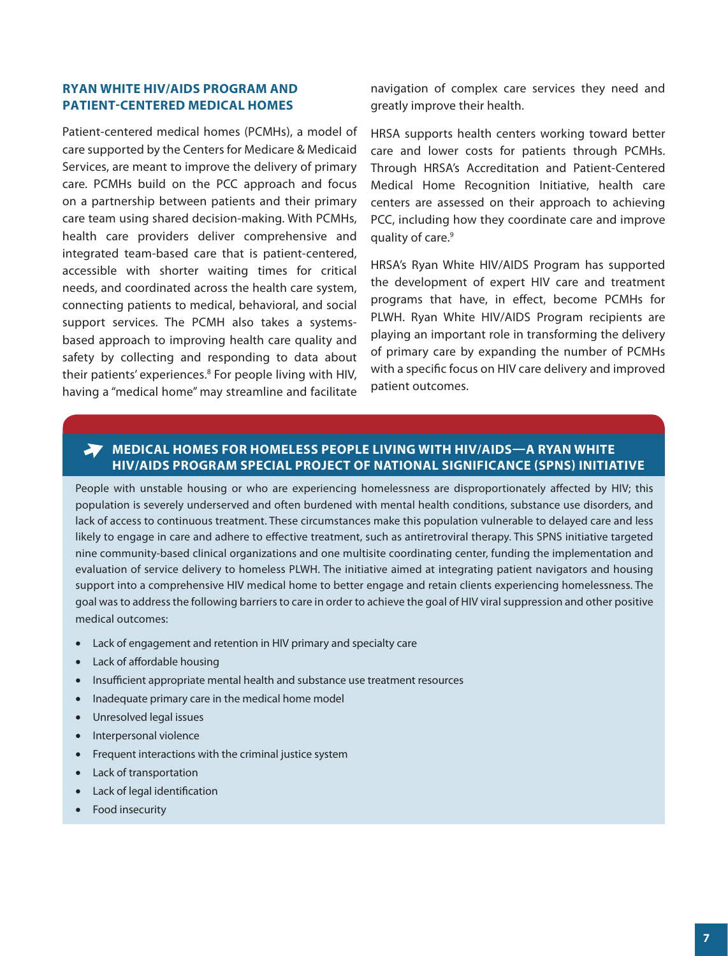### <span id="page-6-1"></span><span id="page-6-0"></span>**RYAN WHITE HIV/AIDS PROGRAM AND PATIENT-CENTERED MEDICAL HOMES**

Patient-centered medical homes (PCMHs), a model of care supported by the Centers for Medicare & Medicaid Services, are meant to improve the delivery of primary care. PCMHs build on the PCC approach and focus on a partnership between patients and their primary care team using shared decision-making. With PCMHs, health care providers deliver comprehensive and integrated team-based care that is patient-centered, accessible with shorter waiting times for critical needs, and coordinated across the health care system, connecting patients to medical, behavioral, and social support services. The PCMH also takes a systemsbased approach to improving health care quality and safety by collecting and responding to data about their patients' experiences.<sup>8</sup> For people living with HIV, having a "medical home" may streamline and facilitate navigation of complex care services they need and greatly improve their health.

HRSA supports health centers working toward better care and lower costs for patients through PCMHs. Through HRSA's Accreditation and Patient-Centered Medical Home Recognition Initiative, health care centers are assessed on their approach to achieving PCC, including how they coordinate care and improve quality of care.<sup>9</sup>

HRSA's Ryan White HIV/AIDS Program has supported the development of expert HIV care and treatment programs that have, in effect, become PCMHs for PLWH. Ryan White HIV/AIDS Program recipients are playing an important role in transforming the delivery of primary care by expanding the number of PCMHs with a specific focus on HIV care delivery and improved patient outcomes.

# **MEDICAL HOMES FOR HOMELESS PEOPLE LIVING WITH HIV/AIDS—A RYAN WHITE HIV/AIDS PROGRAM SPECIAL PROJECT OF NATIONAL SIGNIFICANCE (SPNS) INITIATIVE**

People with unstable housing or who are experiencing homelessness are disproportionately affected by HIV; this population is severely underserved and often burdened with mental health conditions, substance use disorders, and lack of access to continuous treatment. These circumstances make this population vulnerable to delayed care and less likely to engage in care and adhere to effective treatment, such as antiretroviral therapy. This SPNS initiative targeted nine community-based clinical organizations and one multisite coordinating center, funding the implementation and evaluation of service delivery to homeless PLWH. The initiative aimed at integrating patient navigators and housing support into a comprehensive HIV medical home to better engage and retain clients experiencing homelessness. The goal was to address the following barriers to care in order to achieve the goal of HIV viral suppression and other positive medical outcomes:

- Lack of engagement and retention in HIV primary and specialty care
- Lack of affordable housing
- Insufficient appropriate mental health and substance use treatment resources
- Inadequate primary care in the medical home model
- Unresolved legal issues
- Interpersonal violence
- Frequent interactions with the criminal justice system
- Lack of transportation
- Lack of legal identification
- Food insecurity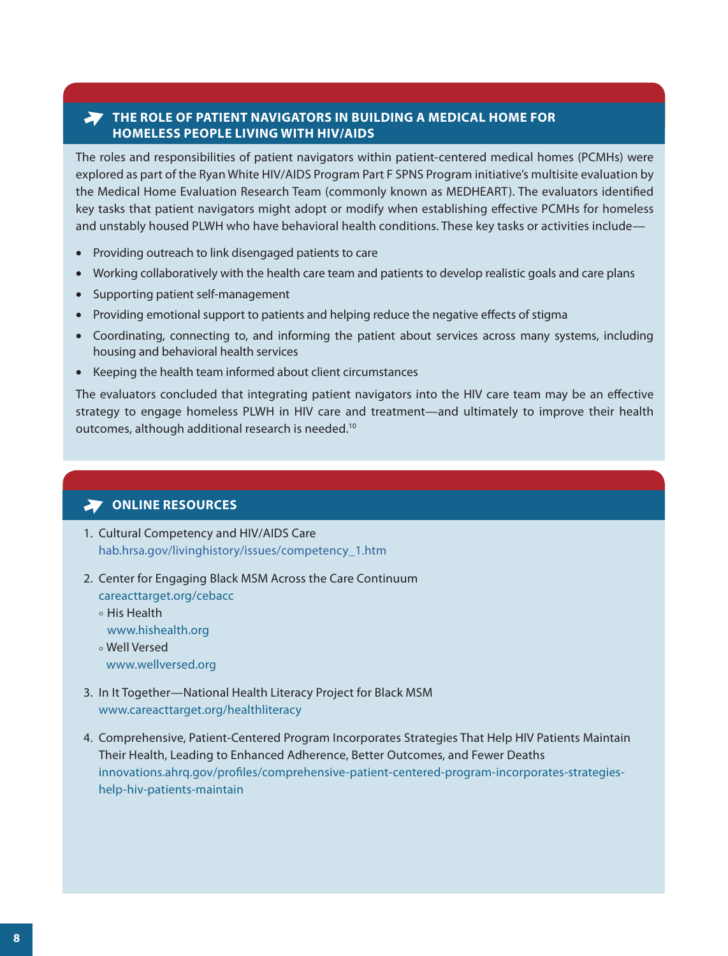# **THE ROLE OF PATIENT NAVIGATORS IN BUILDING A MEDICAL HOME FOR HOMELESS PEOPLE LIVING WITH HIV/AIDS**

The roles and responsibilities of patient navigators within patient-centered medical homes (PCMHs) were explored as part of the Ryan White HIV/AIDS Program Part F SPNS Program initiative's multisite evaluation by the Medical Home Evaluation Research Team (commonly known as MEDHEART). The evaluators identified key tasks that patient navigators might adopt or modify when establishing effective PCMHs for homeless and unstably housed PLWH who have behavioral health conditions. These key tasks or activities include—

- Providing outreach to link disengaged patients to care
- Working collaboratively with the health care team and patients to develop realistic goals and care plans
- Supporting patient self-management
- Providing emotional support to patients and helping reduce the negative effects of stigma
- Coordinating, connecting to, and informing the patient about services across many systems, including housing and behavioral health services
- Keeping the health team informed about client circumstances

The evaluators concluded that integrating patient navigators into the HIV care team may be an effective strategy to engage homeless PLWH in HIV care and treatment—and ultimately to improve their health outcomes, although additional research is needed.10

# **ONLINE RESOURCES**

- 1. [Cultural Competency and HIV/AIDS Care](https://hab.hrsa.gov/livinghistory/issues/competency_1.htm) [hab.hrsa.gov/livinghistory/issues/competency\\_1.htm](http://hab.hrsa.gov/livinghistory/issues/competency_1.htm)
- 2. [Center for Engaging Black MSM Across the Care Continuum](https://careacttarget.org/cebacc)
	- [careacttarget.org/cebacc](http://careacttarget.org/cebacc)
	- ° [His Health](https://www.hishealth.org/) [www.hishealth.org](http://www.hishealth.org/) ° [Well Versed](https://www.wellversed.org/)
	- [www.wellversed.org](https://www.wellversed.org/)
- 3. [In It Together—National Health Literacy Project for Black MSM](https://www.careacttarget.org/healthliteracy) [www.careacttarget.org/healthliteracy](https://www.careacttarget.org/healthliteracy )
- 4. [Comprehensive, Patient-Centered Program Incorporates Strategies That Help HIV Patients Maintain](https://innovations.ahrq.gov/profiles/comprehensive-patient-centered-program-incorporates-strategies-help-hiv-patients-maintain)  [Their Health, Leading to Enhanced Adherence, Better Outcomes, and Fewer Deaths](https://innovations.ahrq.gov/profiles/comprehensive-patient-centered-program-incorporates-strategies-help-hiv-patients-maintain) [innovations.ahrq.gov/profiles/comprehensive-patient-centered-program-incorporates-strategies](https://innovations.ahrq.gov/profiles/comprehensive-patient-centered-program-incorporates-strategies-help-hiv-patients-maintain)[help-hiv-patients-maintain](https://innovations.ahrq.gov/profiles/comprehensive-patient-centered-program-incorporates-strategies-help-hiv-patients-maintain)